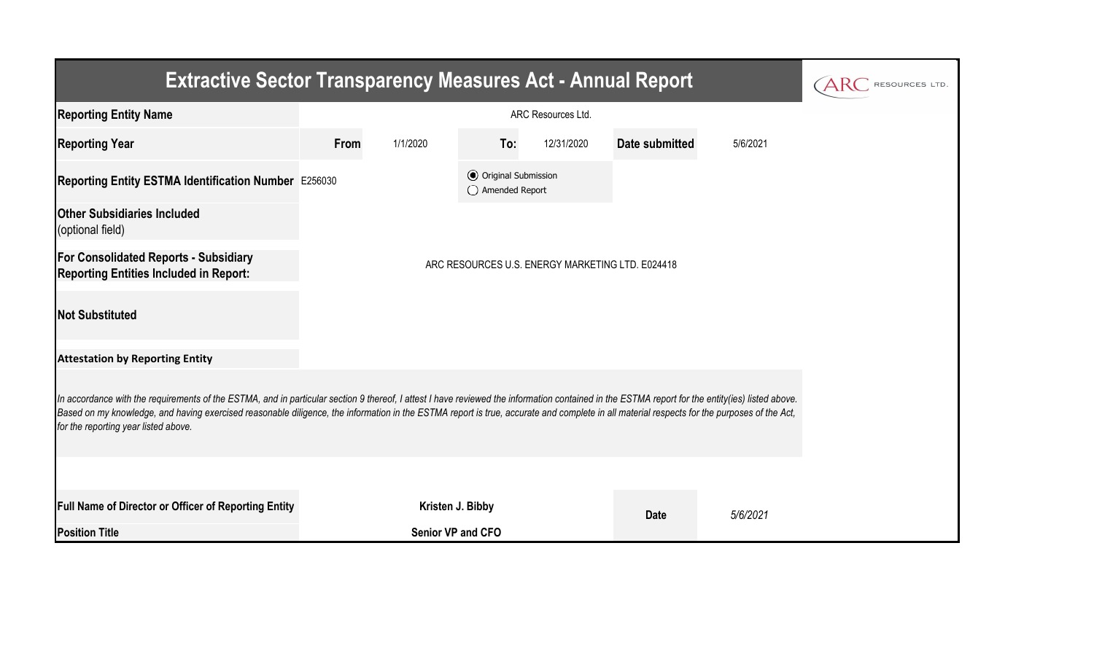| <b>Extractive Sector Transparency Measures Act - Annual Report</b>                                                                                                                                                                                                                                                                                                                                                                    | RESOURCES LTD.                                   |                   |                                                  |            |                |          |  |  |  |  |  |
|---------------------------------------------------------------------------------------------------------------------------------------------------------------------------------------------------------------------------------------------------------------------------------------------------------------------------------------------------------------------------------------------------------------------------------------|--------------------------------------------------|-------------------|--------------------------------------------------|------------|----------------|----------|--|--|--|--|--|
| <b>Reporting Entity Name</b>                                                                                                                                                                                                                                                                                                                                                                                                          |                                                  |                   |                                                  |            |                |          |  |  |  |  |  |
| <b>Reporting Year</b>                                                                                                                                                                                                                                                                                                                                                                                                                 | From                                             | 1/1/2020          | To:                                              | 12/31/2020 | Date submitted | 5/6/2021 |  |  |  |  |  |
| Reporting Entity ESTMA Identification Number E256030                                                                                                                                                                                                                                                                                                                                                                                  |                                                  |                   | <b>⊙</b> Original Submission<br>◯ Amended Report |            |                |          |  |  |  |  |  |
| <b>Other Subsidiaries Included</b><br>(optional field)                                                                                                                                                                                                                                                                                                                                                                                |                                                  |                   |                                                  |            |                |          |  |  |  |  |  |
| <b>For Consolidated Reports - Subsidiary</b><br><b>Reporting Entities Included in Report:</b>                                                                                                                                                                                                                                                                                                                                         | ARC RESOURCES U.S. ENERGY MARKETING LTD. E024418 |                   |                                                  |            |                |          |  |  |  |  |  |
| <b>Not Substituted</b>                                                                                                                                                                                                                                                                                                                                                                                                                |                                                  |                   |                                                  |            |                |          |  |  |  |  |  |
| <b>Attestation by Reporting Entity</b>                                                                                                                                                                                                                                                                                                                                                                                                |                                                  |                   |                                                  |            |                |          |  |  |  |  |  |
| In accordance with the requirements of the ESTMA, and in particular section 9 thereof, I attest I have reviewed the information contained in the ESTMA report for the entity(ies) listed above.<br>Based on my knowledge, and having exercised reasonable diligence, the information in the ESTMA report is true, accurate and complete in all material respects for the purposes of the Act,<br>for the reporting year listed above. |                                                  |                   |                                                  |            |                |          |  |  |  |  |  |
|                                                                                                                                                                                                                                                                                                                                                                                                                                       |                                                  |                   |                                                  |            |                |          |  |  |  |  |  |
| <b>Full Name of Director or Officer of Reporting Entity</b>                                                                                                                                                                                                                                                                                                                                                                           |                                                  | Kristen J. Bibby  |                                                  |            | <b>Date</b>    | 5/6/2021 |  |  |  |  |  |
| <b>Position Title</b>                                                                                                                                                                                                                                                                                                                                                                                                                 |                                                  | Senior VP and CFO |                                                  |            |                |          |  |  |  |  |  |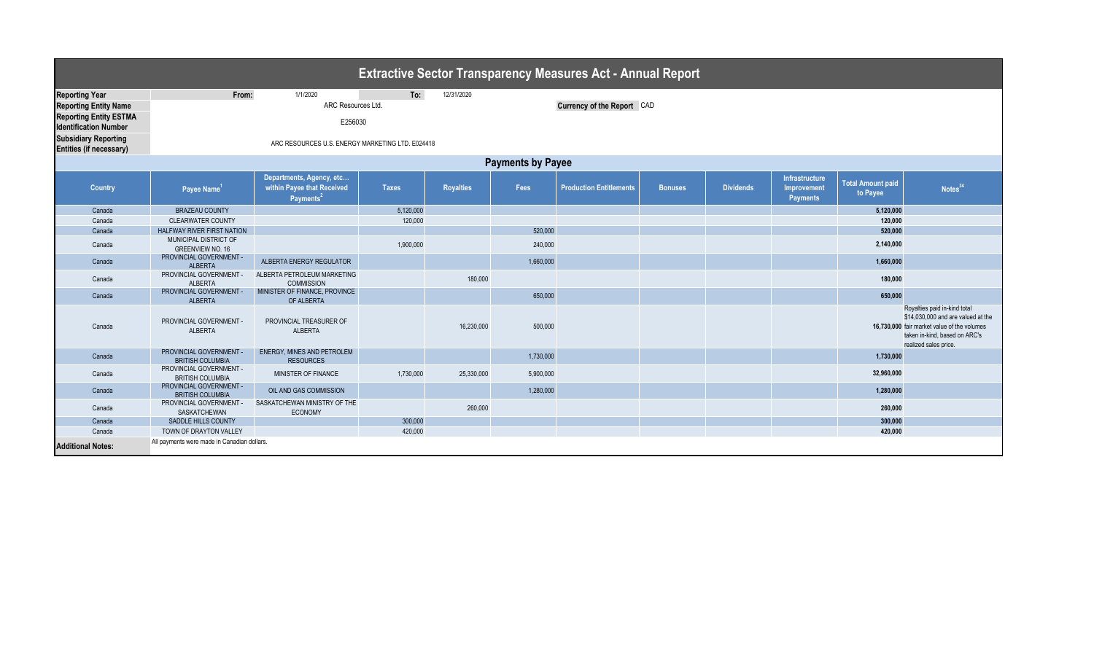| <b>Extractive Sector Transparency Measures Act - Annual Report</b> |                                                    |                                                                                 |              |                  |           |                                |                |                  |                                                         |                                      |                                                                                                                                                                             |
|--------------------------------------------------------------------|----------------------------------------------------|---------------------------------------------------------------------------------|--------------|------------------|-----------|--------------------------------|----------------|------------------|---------------------------------------------------------|--------------------------------------|-----------------------------------------------------------------------------------------------------------------------------------------------------------------------------|
| <b>Reporting Year</b>                                              | From:                                              | 1/1/2020                                                                        | To:          | 12/31/2020       |           |                                |                |                  |                                                         |                                      |                                                                                                                                                                             |
| <b>Reporting Entity Name</b>                                       | ARC Resources Ltd.<br>Currency of the Report CAD   |                                                                                 |              |                  |           |                                |                |                  |                                                         |                                      |                                                                                                                                                                             |
| <b>Reporting Entity ESTMA</b><br><b>Identification Number</b>      | E256030                                            |                                                                                 |              |                  |           |                                |                |                  |                                                         |                                      |                                                                                                                                                                             |
| <b>Subsidiary Reporting</b><br>Entities (if necessary)             | ARC RESOURCES U.S. ENERGY MARKETING LTD. E024418   |                                                                                 |              |                  |           |                                |                |                  |                                                         |                                      |                                                                                                                                                                             |
| <b>Payments by Payee</b>                                           |                                                    |                                                                                 |              |                  |           |                                |                |                  |                                                         |                                      |                                                                                                                                                                             |
| <b>Country</b>                                                     | Payee Name <sup>1</sup>                            | Departments, Agency, etc<br>within Payee that Received<br>Payments <sup>2</sup> | <b>Taxes</b> | <b>Royalties</b> | Fees      | <b>Production Entitlements</b> | <b>Bonuses</b> | <b>Dividends</b> | <b>Infrastructure</b><br>Improvement<br><b>Payments</b> | <b>Total Amount paid</b><br>to Payee | Notes <sup>34</sup>                                                                                                                                                         |
| Canada                                                             | <b>BRAZEAU COUNTY</b>                              |                                                                                 | 5,120,000    |                  |           |                                |                |                  |                                                         | 5,120,000                            |                                                                                                                                                                             |
| Canada                                                             | <b>CLEARWATER COUNTY</b>                           |                                                                                 | 120,000      |                  |           |                                |                |                  |                                                         | 120,000                              |                                                                                                                                                                             |
| Canada                                                             | HALFWAY RIVER FIRST NATION                         |                                                                                 |              |                  | 520,000   |                                |                |                  |                                                         | 520.000                              |                                                                                                                                                                             |
| Canada                                                             | MUNICIPAL DISTRICT OF<br><b>GREENVIEW NO. 16</b>   |                                                                                 | 1,900,000    |                  | 240,000   |                                |                |                  |                                                         | 2,140,000                            |                                                                                                                                                                             |
| Canada                                                             | PROVINCIAL GOVERNMENT -<br><b>ALBERTA</b>          | ALBERTA ENERGY REGULATOR                                                        |              |                  | 1,660,000 |                                |                |                  |                                                         | 1,660,000                            |                                                                                                                                                                             |
| Canada                                                             | PROVINCIAL GOVERNMENT -<br><b>ALBERTA</b>          | ALBERTA PETROLEUM MARKETING<br><b>COMMISSION</b>                                |              | 180,000          |           |                                |                |                  |                                                         | 180,000                              |                                                                                                                                                                             |
| Canada                                                             | PROVINCIAL GOVERNMENT -<br><b>ALBERTA</b>          | MINISTER OF FINANCE, PROVINCE<br>OF ALBERTA                                     |              |                  | 650,000   |                                |                |                  |                                                         | 650,000                              |                                                                                                                                                                             |
| Canada                                                             | PROVINCIAL GOVERNMENT -<br><b>ALBERTA</b>          | PROVINCIAL TREASURER OF<br><b>ALBERTA</b>                                       |              | 16,230,000       | 500,000   |                                |                |                  |                                                         |                                      | Royalties paid in-kind total<br>\$14,030,000 and are valued at the<br>16,730,000 fair market value of the volumes<br>taken in-kind, based on ARC's<br>realized sales price. |
| Canada                                                             | PROVINCIAL GOVERNMENT -<br><b>BRITISH COLUMBIA</b> | ENERGY, MINES AND PETROLEM<br><b>RESOURCES</b>                                  |              |                  | 1,730,000 |                                |                |                  |                                                         | 1,730,000                            |                                                                                                                                                                             |
| Canada                                                             | PROVINCIAL GOVERNMENT -<br><b>BRITISH COLUMBIA</b> | MINISTER OF FINANCE                                                             | 1,730,000    | 25,330,000       | 5,900,000 |                                |                |                  |                                                         | 32,960,000                           |                                                                                                                                                                             |
| Canada                                                             | PROVINCIAL GOVERNMENT -<br><b>BRITISH COLUMBIA</b> | OIL AND GAS COMMISSION                                                          |              |                  | 1,280,000 |                                |                |                  |                                                         | 1,280,000                            |                                                                                                                                                                             |
| Canada                                                             | PROVINCIAL GOVERNMENT -<br>SASKATCHEWAN            | SASKATCHEWAN MINISTRY OF THE<br>ECONOMY                                         |              | 260,000          |           |                                |                |                  |                                                         | 260,000                              |                                                                                                                                                                             |
| Canada                                                             | <b>SADDLE HILLS COUNTY</b>                         |                                                                                 | 300,000      |                  |           |                                |                |                  |                                                         | 300,000                              |                                                                                                                                                                             |
| Canada                                                             | TOWN OF DRAYTON VALLEY                             |                                                                                 | 420,000      |                  |           |                                |                |                  |                                                         | 420,000                              |                                                                                                                                                                             |
| <b>Additional Notes:</b>                                           | All payments were made in Canadian dollars.        |                                                                                 |              |                  |           |                                |                |                  |                                                         |                                      |                                                                                                                                                                             |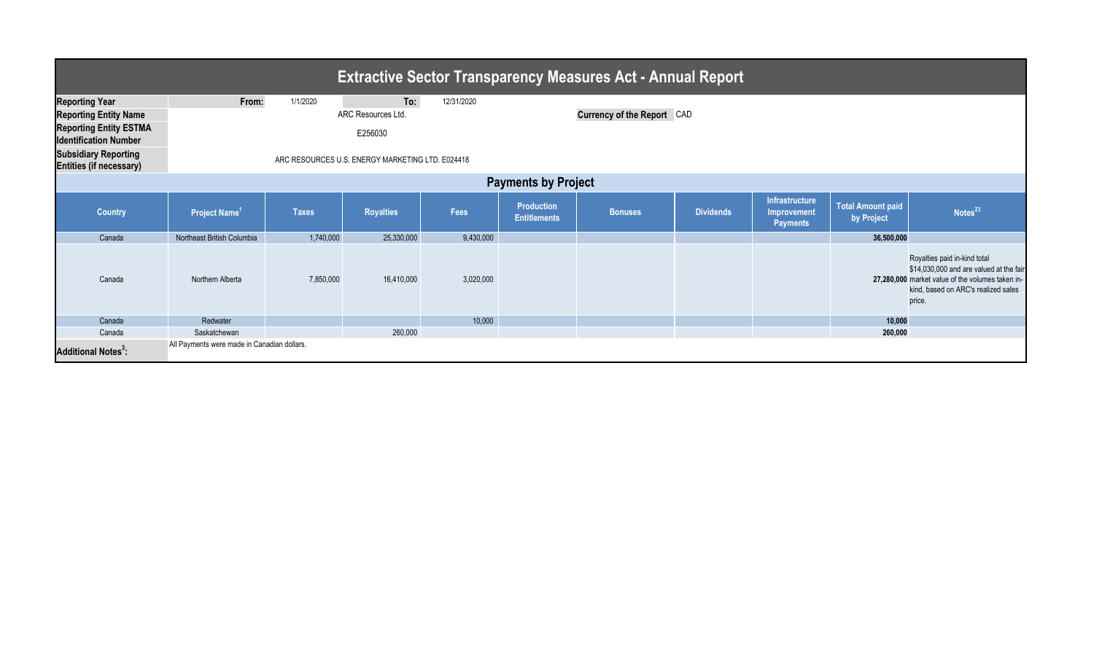| <b>Extractive Sector Transparency Measures Act - Annual Report</b> |                                                  |              |                    |            |                                          |                            |                  |                                                  |                                        |                                                                                                                                                                              |  |
|--------------------------------------------------------------------|--------------------------------------------------|--------------|--------------------|------------|------------------------------------------|----------------------------|------------------|--------------------------------------------------|----------------------------------------|------------------------------------------------------------------------------------------------------------------------------------------------------------------------------|--|
| <b>Reporting Year</b>                                              | From:                                            | 1/1/2020     | To:                | 12/31/2020 |                                          |                            |                  |                                                  |                                        |                                                                                                                                                                              |  |
| <b>Reporting Entity Name</b>                                       |                                                  |              | ARC Resources Ltd. |            |                                          | Currency of the Report CAD |                  |                                                  |                                        |                                                                                                                                                                              |  |
| <b>Reporting Entity ESTMA</b><br><b>Identification Number</b>      | E256030                                          |              |                    |            |                                          |                            |                  |                                                  |                                        |                                                                                                                                                                              |  |
| <b>Subsidiary Reporting</b><br><b>Entities (if necessary)</b>      | ARC RESOURCES U.S. ENERGY MARKETING LTD. E024418 |              |                    |            |                                          |                            |                  |                                                  |                                        |                                                                                                                                                                              |  |
| <b>Payments by Project</b>                                         |                                                  |              |                    |            |                                          |                            |                  |                                                  |                                        |                                                                                                                                                                              |  |
| <b>Country</b>                                                     | Project Name <sup>1</sup>                        | <b>Taxes</b> | <b>Royalties</b>   | Fees       | <b>Production</b><br><b>Entitlements</b> | <b>Bonuses</b>             | <b>Dividends</b> | Infrastructure<br>Improvement<br><b>Payments</b> | <b>Total Amount paid</b><br>by Project | Notes <sup>23</sup>                                                                                                                                                          |  |
| Canada                                                             | Northeast British Columbia                       | 1,740,000    | 25,330,000         | 9,430,000  |                                          |                            |                  |                                                  | 36,500,000                             |                                                                                                                                                                              |  |
| Canada                                                             | Northern Alberta                                 | 7,850,000    | 16,410,000         | 3,020,000  |                                          |                            |                  |                                                  |                                        | Royalties paid in-kind total<br>\$14,030,000 and are valued at the fair<br>27,280,000 market value of the volumes taken in-<br>kind, based on ARC's realized sales<br>price. |  |
| Canada                                                             | Redwater                                         |              |                    | 10,000     |                                          |                            |                  |                                                  | 10,000                                 |                                                                                                                                                                              |  |
| Canada                                                             | Saskatchewan                                     |              | 260,000            |            |                                          |                            |                  |                                                  | 260,000                                |                                                                                                                                                                              |  |
| <b>Additional Notes<sup>3</sup>:</b>                               | All Payments were made in Canadian dollars.      |              |                    |            |                                          |                            |                  |                                                  |                                        |                                                                                                                                                                              |  |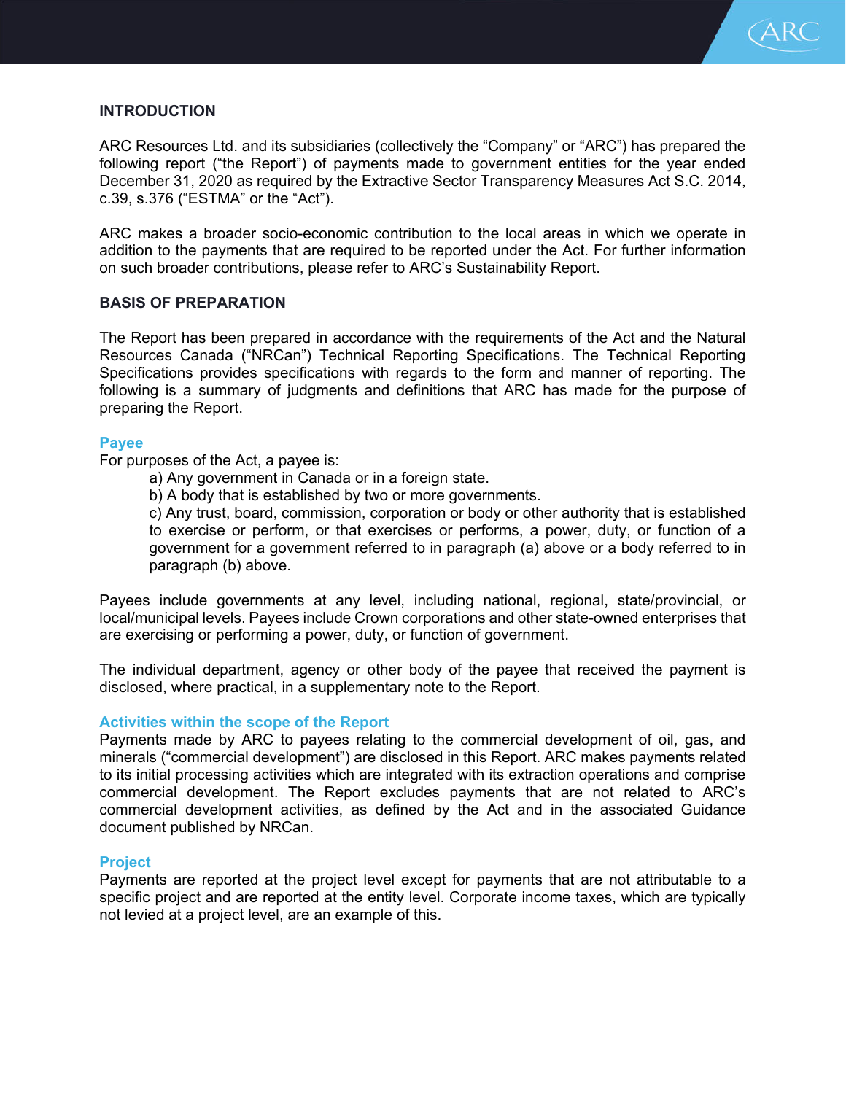

# **INTRODUCTION**

ARC Resources Ltd. and its subsidiaries (collectively the "Company" or "ARC") has prepared the following report ("the Report") of payments made to government entities for the year ended December 31, 2020 as required by the Extractive Sector Transparency Measures Act S.C. 2014, c.39, s.376 ("ESTMA" or the "Act").

ARC makes a broader socio-economic contribution to the local areas in which we operate in addition to the payments that are required to be reported under the Act. For further information on such broader contributions, please refer to ARC's Sustainability Report.

## **BASIS OF PREPARATION**

The Report has been prepared in accordance with the requirements of the Act and the Natural Resources Canada ("NRCan") Technical Reporting Specifications. The Technical Reporting Specifications provides specifications with regards to the form and manner of reporting. The following is a summary of judgments and definitions that ARC has made for the purpose of preparing the Report.

#### **Payee**

For purposes of the Act, a payee is:

- a) Any government in Canada or in a foreign state.
- b) A body that is established by two or more governments.

c) Any trust, board, commission, corporation or body or other authority that is established to exercise or perform, or that exercises or performs, a power, duty, or function of a government for a government referred to in paragraph (a) above or a body referred to in paragraph (b) above.

Payees include governments at any level, including national, regional, state/provincial, or local/municipal levels. Payees include Crown corporations and other state-owned enterprises that are exercising or performing a power, duty, or function of government.

The individual department, agency or other body of the payee that received the payment is disclosed, where practical, in a supplementary note to the Report.

## **Activities within the scope of the Report**

Payments made by ARC to payees relating to the commercial development of oil, gas, and minerals ("commercial development") are disclosed in this Report. ARC makes payments related to its initial processing activities which are integrated with its extraction operations and comprise commercial development. The Report excludes payments that are not related to ARC's commercial development activities, as defined by the Act and in the associated Guidance document published by NRCan.

#### **Project**

Payments are reported at the project level except for payments that are not attributable to a specific project and are reported at the entity level. Corporate income taxes, which are typically not levied at a project level, are an example of this.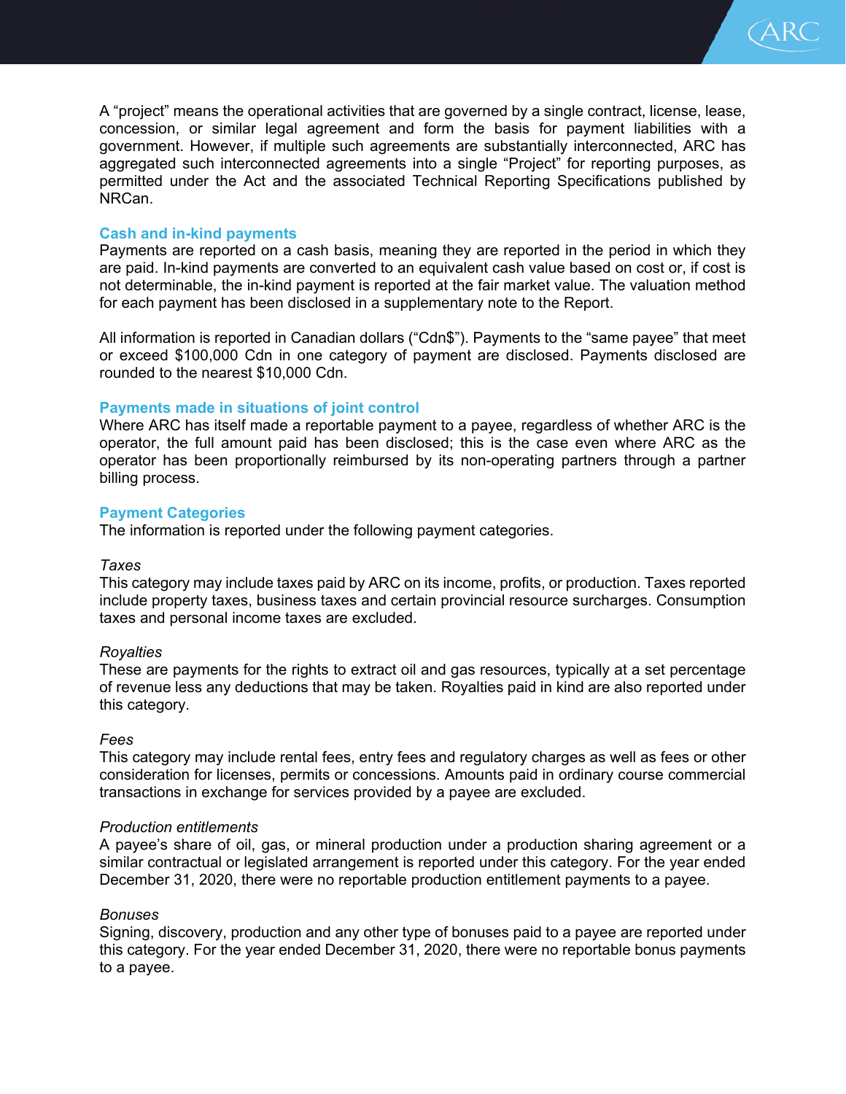A "project" means the operational activities that are governed by a single contract, license, lease, concession, or similar legal agreement and form the basis for payment liabilities with a government. However, if multiple such agreements are substantially interconnected, ARC has aggregated such interconnected agreements into a single "Project" for reporting purposes, as permitted under the Act and the associated Technical Reporting Specifications published by NRCan.

(ARC

# **Cash and in-kind payments**

Payments are reported on a cash basis, meaning they are reported in the period in which they are paid. In-kind payments are converted to an equivalent cash value based on cost or, if cost is not determinable, the in-kind payment is reported at the fair market value. The valuation method for each payment has been disclosed in a supplementary note to the Report.

All information is reported in Canadian dollars ("Cdn\$"). Payments to the "same payee" that meet or exceed \$100,000 Cdn in one category of payment are disclosed. Payments disclosed are rounded to the nearest \$10,000 Cdn.

## **Payments made in situations of joint control**

Where ARC has itself made a reportable payment to a payee, regardless of whether ARC is the operator, the full amount paid has been disclosed; this is the case even where ARC as the operator has been proportionally reimbursed by its non-operating partners through a partner billing process.

## **Payment Categories**

The information is reported under the following payment categories.

#### *Taxes*

This category may include taxes paid by ARC on its income, profits, or production. Taxes reported include property taxes, business taxes and certain provincial resource surcharges. Consumption taxes and personal income taxes are excluded.

## *Royalties*

These are payments for the rights to extract oil and gas resources, typically at a set percentage of revenue less any deductions that may be taken. Royalties paid in kind are also reported under this category.

#### *Fees*

This category may include rental fees, entry fees and regulatory charges as well as fees or other consideration for licenses, permits or concessions. Amounts paid in ordinary course commercial transactions in exchange for services provided by a payee are excluded.

#### *Production entitlements*

A payee's share of oil, gas, or mineral production under a production sharing agreement or a similar contractual or legislated arrangement is reported under this category. For the year ended December 31, 2020, there were no reportable production entitlement payments to a payee.

#### *Bonuses*

Signing, discovery, production and any other type of bonuses paid to a payee are reported under this category. For the year ended December 31, 2020, there were no reportable bonus payments to a payee.